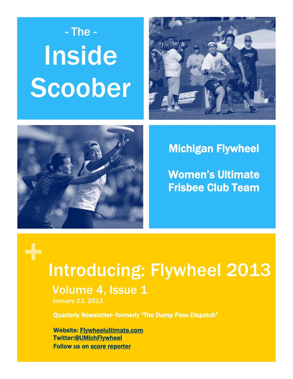# Inside Scoober - The -





### Michigan Flywheel

Women's Ultimate Frisbee Club Team

# + Introducing: Flywheel 2013

### Volume 4, Issue 1

January 23, 2013

Quarterly Newsletter- formerly "The Dump Pass Dispatch"

Website: [Flywheelultimate.com](http://www.flywheelultimate.com/)  Twitter[:@UMichFlywheel](https://twitter.com/UMichFlywheel)  Follow us on [score reporter](http://scores.usaultimate.org/scores/#college-womens/team/1409)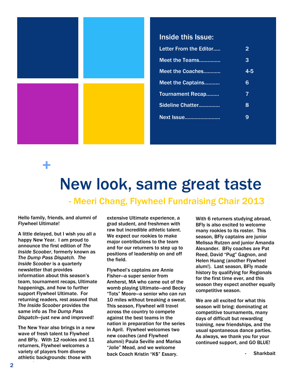

#### Inside this Issue:

| Letter From the Editor  | 2   |
|-------------------------|-----|
| Meet the Teams          | 3   |
| Meet the Coaches        | 4-5 |
| Meet the Captains       | 6   |
| <b>Tournament Recap</b> | 7   |
| Sideline Chatter        | 8   |
| <b>Next Issue</b>       | 9   |



# New look, same great taste

- Meeri Chang, Flywheel Fundraising Chair 2013

Hello family, friends, and alumni of Flywheel Ultimate!

A little delayed, but I wish you all a happy New Year. I am proud to announce the first edition of *The Inside Scoober*, formerly known as *The Dump Pass Dispatch. The Inside Scoober* is a quarterly newsletter that provides information about this season's team, tournament recaps, Ultimate happenings, and how to further support Flywheel Ultimate. For returning readers, rest assured that *The Inside Scoober* provides the same info as *The Dump Pass Dispatch*—just new and improved!

The New Year also brings in a new wave of fresh talent to Flywheel and BFly. With 12 rookies and 11 returners, Flywheel welcomes a variety of players from diverse athletic backgrounds: those with

extensive Ultimate experience, a grad student, and freshmen with raw but incredible athletic talent. We expect our rookies to make major contributions to the team and for our returners to step up to positions of leadership on and off the field.

Flywheel's captains are Annie Fisher—a super senior from Amherst, MA who came out of the womb playing Ultimate—and Becky "Tots" Moore—a senior who can run 10 miles without breaking a sweat. This season, Flywheel will travel across the country to compete against the best teams in the nation in preparation for the series in April. Flywheel welcomes two new coaches (and Flywheel alumni) Paula Seville and Marisa "Jolie" Mead, and we welcome back Coach Kristin "K\$" Essary.

With 6 returners studying abroad, BFly is also excited to welcome many rookies to its roster. This season, BFly captains are junior Melissa Rutzen and junior Amanda Alexander. BFly coaches are Pat Reed, David "Pug" Gagnon, and Helen Huang (another Flywheel alum!). Last season, BFly made history by qualifying for Regionals for the first time ever, and this season they expect another equally competitive season.

We are all excited for what this season will bring: dominating at competitive tournaments, many days of difficult but rewarding training, new friendships, and the usual spontaneous dance parties. As always, we thank you for your continued support, and GO BLUE!

**Sharkbait**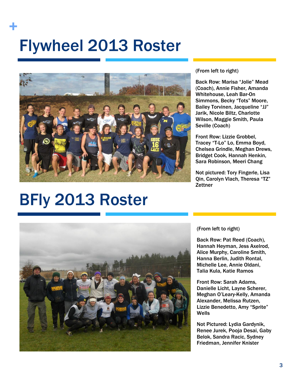# Flywheel 2013 Roster +



#### (From left to right)

Back Row: Marisa "Jolie" Mead (Coach), Annie Fisher, Amanda Whitehouse, Leah Bar-On Simmons, Becky "Tots" Moore, Bailey Torvinen, Jacqueline "JJ" Jarik, Nicole Biltz, Charlotte Wilson, Maggie Smith, Paula Seville (Coach)

Front Row: Lizzie Grobbel, Tracey "T-Lo" Lo, Emma Boyd, Chelsea Grindle, Meghan Drews, Bridget Cook, Hannah Henkin, Sara Robinson, Meeri Chang

Not pictured: Tory Fingerle, Lisa Qin, Carolyn Vlach, Theresa "TZ" **Zettner** 

# BFly 2013 Roster



#### (From left to right)

Back Row: Pat Reed (Coach), Hannah Heyman, Jess Axelrod, Alice Murphy, Caroline Smith, Hanna Berlin, Judith Rontal, Michelle Lee, Annie Oldani, Talia Kula, Katie Ramos

Front Row: Sarah Adams, Danielle Licht, Layne Scherer, Meghan O'Leary-Kelly, Amanda Alexander, Melissa Rutzen, Lizzie Benedetto, Amy "Sprite" **Wells** 

Not Pictured: Lydia Gardynik, Renee Jurek, Pooja Desai, Gaby Belok, Sandra Racic, Sydney Friedman, Jennifer Knister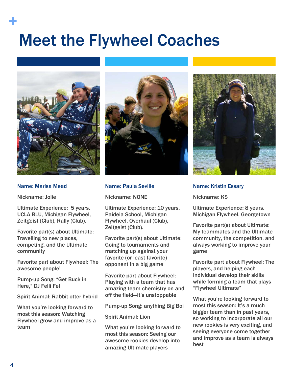# Meet the Flywheel Coaches



#### Name: Marisa Mead

Nickname: Jolie

+

Ultimate Experience: 5 years. UCLA BLU, Michigan Flywheel, Zeitgeist (Club), Rally (Club).

Favorite part(s) about Ultimate: Travelling to new places, competing, and the Ultimate community

Favorite part about Flywheel: The awesome people!

Pump-up Song: "Get Buck in Here," DJ Felli Fel

Spirit Animal: Rabbit-otter hybrid

What you're looking forward to most this season: Watching Flywheel grow and improve as a team



#### Name: Paula Seville

Nickname: NONE

Ultimate Experience: 10 years. Paideia School, Michigan Flywheel, Overhaul (Club), Zeitgeist (Club).

Favorite part(s) about Ultimate: Going to tournaments and matching up against your favorite (or least favorite) opponent in a big game

Favorite part about Flywheel: Playing with a team that has amazing team chemistry on and off the field—it's unstoppable

Pump-up Song: anything Big Boi

#### Spirit Animal: Lion

What you're looking forward to most this season: Seeing our awesome rookies develop into amazing Ultimate players



Name: Kristin Essary

Nickname: K\$

Ultimate Experience: 8 years. Michigan Flywheel, Georgetown

Favorite part(s) about Ultimate: My teammates and the Ultimate community, the competition, and always working to improve your game

Favorite part about Flywheel: The players, and helping each individual develop their skills while forming a team that plays "Flywheel Ultimate"

What you're looking forward to most this season: It's a much bigger team than in past years, so working to incorporate all our new rookies is very exciting, and seeing everyone come together and improve as a team is always best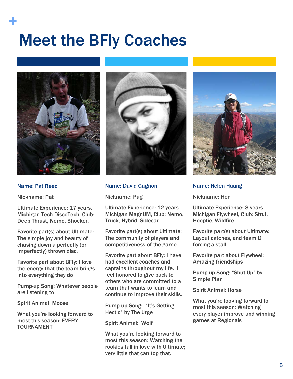# Meet the BFly Coaches



#### Name: Pat Reed

+

Nickname: Pat

Ultimate Experience: 17 years. Michigan Tech DiscoTech, Club: Deep Thrust, Nemo, Shocker.

Favorite part(s) about Ultimate: The simple joy and beauty of chasing down a perfectly (or imperfectly) thrown disc.

Favorite part about BFly: I love the energy that the team brings into everything they do.

Pump-up Song: Whatever people are listening to

Spirit Animal: Moose

What you're looking forward to most this season: EVERY TOURNAMENT



#### Name: David Gagnon

Nickname: Pug

Ultimate Experience: 12 years. Michigan MagnUM, Club: Nemo, Truck, Hybrid, Sidecar.

Favorite part(s) about Ultimate: The community of players and competitiveness of the game.

Favorite part about BFly: I have had excellent coaches and captains throughout my life. I feel honored to give back to others who are committed to a team that wants to learn and continue to improve their skills.

Pump-up Song: "It's Getting' Hectic" by The Urge

Spirit Animal: Wolf

What you're looking forward to most this season: Watching the rookies fall in love with Ultimate; very little that can top that.



#### Name: Helen Huang

Nickname: Hen

Ultimate Experience: 8 years. Michigan Flywheel, Club: Strut, Hooptie, Wildfire.

Favorite part(s) about Ultimate: Layout catches, and team D forcing a stall

Favorite part about Flywheel: Amazing friendships

Pump-up Song: "Shut Up" by Simple Plan

Spirit Animal: Horse

What you're looking forward to most this season: Watching every player improve and winning games at Regionals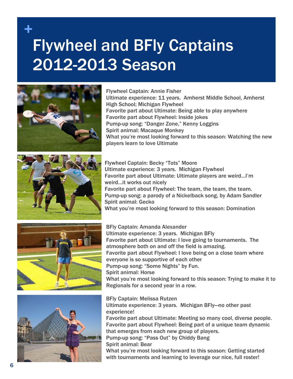## + Flywheel and BFly Captains 2012-2013 Season





Flywheel Captain: Annie Fisher Ultimate experience: 11 years. Amherst Middle School, Amherst High School; Michigan Flywheel Favorite part about Ultimate: Being able to play anywhere Favorite part about Flywheel: Inside jokes Pump-up song: "Danger Zone," Kenny Loggins Spirit animal: Macaque Monkey What you're most looking forward to this season: Watching the new players learn to love Ultimate

Flywheel Captain: Becky "Tots" Moore Ultimate experience: 3 years. Michigan Flywheel Favorite part about Ultimate: Ultimate players are weird…I'm weird…it works out nicely Favorite part about Flywheel: The team, the team, the team. Pump-up song: a parody of a Nickelback song, by Adam Sandler Spirit animal: Gecko What you're most looking forward to this season: Domination





BFly Captain: Amanda Alexander Ultimate experience: 3 years. Michigan BFly Favorite part about Ultimate: I love going to tournaments. The atmosphere both on and off the field is amazing. Favorite part about Flywheel: I love being on a close team where everyone is so supportive of each other Pump-up song: "Some Nights" by Fun. Spirit animal: Horse What you're most looking forward to this season: Trying to make it to Regionals for a second year in a row.

BFly Captain: Melissa Rutzen Ultimate experience: 3 years. Michigan BFly—no other past experience! Favorite part about Ultimate: Meeting so many cool, diverse people. Favorite part about Flywheel: Being part of a unique team dynamic that emerges from each new group of players. Pump-up song: "Pass Out" by Chiddy Bang Spirit animal: Bear What you're most looking forward to this season: Getting started with tournaments and learning to leverage our nice, full roster!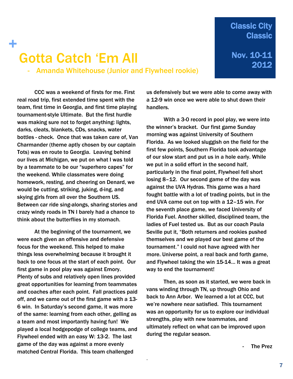#### **Classic City Classic**

### 2012 Gotta Catch 'Em All - Amanda Whitehouse (Junior and Flywheel rookie)

Nov. 10-11

CCC was a weekend of firsts for me. First real road trip, first extended time spent with the team, first time in Georgia, and first time playing tournament-style Ultimate. But the first hurdle was making sure not to forget anything: lights, darks, cleats, blankets, CDs, snacks, water bottles - check. Once that was taken care of, Van Charmander (theme aptly chosen by our captain Tots) was en route to Georgia. Leaving behind our lives at Michigan, we put on what I was told by a teammate to be our "superhero capes" for the weekend. While classmates were doing homework, resting, and cheering on Denard, we would be cutting, striking, juking, d-ing, and skying girls from all over the Southern US. Between car ride sing-alongs, sharing stories and crazy windy roads in TN I barely had a chance to think about the butterflies in my stomach.

+

At the beginning of the tournament, we were each given an offensive and defensive focus for the weekend. This helped to make things less overwhelming because it brought it back to one focus at the start of each point. Our first game in pool play was against Emory. Plenty of subs and relatively open lines provided great opportunities for learning from teammates and coaches after each point. Fall practices paid off, and we came out of the first game with a 13- 6 win. In Saturday's second game, it was more of the same: learning from each other, gelling as a team and most importantly having fun! We played a local hodgepodge of college teams, and Flywheel ended with an easy W: 13-2. The last game of the day was against a more evenly matched Central Florida. This team challenged

us defensively but we were able to come away with a 12-9 win once we were able to shut down their handlers.

With a 3-0 record in pool play, we were into the winner's bracket. Our first game Sunday morning was against University of Southern Florida. As we looked sluggish on the field for the first few points, Southern Florida took advantage of our slow start and put us in a hole early. While we put in a solid effort in the second half, particularly in the final point, Flywheel fell short losing 8–12. Our second game of the day was against the UVA Hydras. This game was a hard fought battle with a lot of trading points, but in the end UVA came out on top with a 12–15 win. For the seventh place game, we faced University of Florida Fuel. Another skilled, disciplined team, the ladies of Fuel tested us. But as our coach Paula Seville put it, "Both returners and rookies pushed themselves and we played our best game of the tournament." I could not have agreed with her more. Universe point, a real back and forth game, and Flywheel taking the win 15-14… It was a great way to end the tournament!

Then, as soon as it started, we were back in vans winding through TN, up through Ohio and back to Ann Arbor. We learned a lot at CCC, but we're nowhere near satisfied. This tournament was an opportunity for us to explore our individual strengths, play with new teammates, and ultimately reflect on what can be improved upon during the regular season.

.

The Prez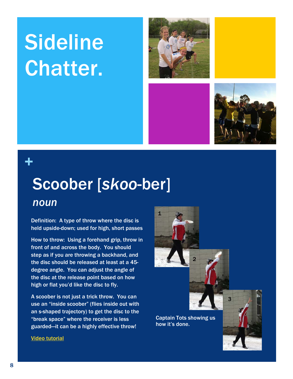# **Sideline** Chatter.





### +

## Scoober [*skoo*-ber]

#### *noun*

Video tutorial

Definition: A type of throw where the disc is held upside-down; used for high, short passes

How to throw: Using a forehand grip, throw in front of and across the body. You should step as if you are throwing a backhand, and the disc should be released at least at a 45 degree angle. You can adjust the angle of the disc at the release point based on how high or flat you'd like the disc to fly.

A scoober is not just a trick throw. You can use an "inside scoober" (flies inside out with an s-shaped trajectory) to get the disc to the "break space" where the receiver is less guarded—it can be a highly effective throw!

Captain Tots showing us how it's done.

2

1